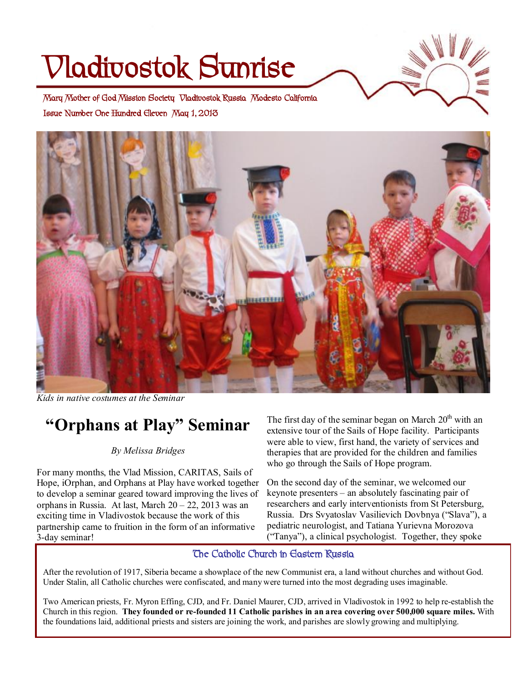# **Vladivostok Sunrise**



**Issue Number One Hundred Eleven May 1, 2013 Mary Mother of God Mission Society Vladivostok Russia Modesto California** 



*Kids in native costumes at the Seminar* 

## **"Orphans at Play" Seminar**

#### *By Melissa Bridges*

For many months, the Vlad Mission, CARITAS, Sails of Hope, iOrphan, and Orphans at Play have worked together to develop a seminar geared toward improving the lives of orphans in Russia. At last, March  $20 - 22$ , 2013 was an exciting time in Vladivostok because the work of this partnership came to fruition in the form of an informative 3-day seminar!

The first day of the seminar began on March  $20<sup>th</sup>$  with an extensive tour of the Sails of Hope facility. Participants were able to view, first hand, the variety of services and therapies that are provided for the children and families who go through the Sails of Hope program.

On the second day of the seminar, we welcomed our keynote presenters – an absolutely fascinating pair of researchers and early interventionists from St Petersburg, Russia. Drs Svyatoslav Vasilievich Dovbnya ("Slava"), a pediatric neurologist, and Tatiana Yurievna Morozova ("Tanya"), a clinical psychologist. Together, they spoke

#### **The Catholic Church in Eastern Russia**

After the revolution of 1917, Siberia became a showplace of the new Communist era, a land without churches and without God. Under Stalin, all Catholic churches were confiscated, and many were turned into the most degrading uses imaginable.

Two American priests, Fr. Myron Effing, CJD, and Fr. Daniel Maurer, CJD, arrived in Vladivostok in 1992 to help re-establish the Church in this region. They founded or re-founded 11 Catholic parishes in an area covering over 500,000 square miles. With the foundations laid, additional priests and sisters are joining the work, and parishes are slowly growing and multiplying.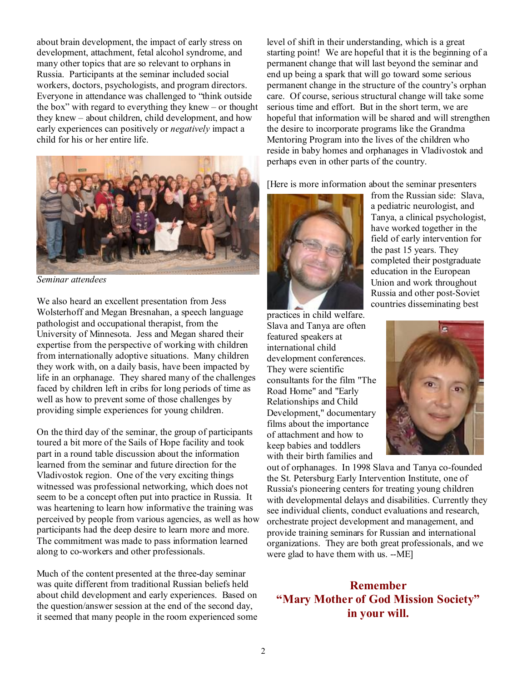about brain development, the impact of early stress on development, attachment, fetal alcohol syndrome, and many other topics that are so relevant to orphans in Russia. Participants at the seminar included social workers, doctors, psychologists, and program directors. Everyone in attendance was challenged to "think outside the box" with regard to everything they knew – or thought they knew – about children, child development, and how early experiences can positively or *negatively* impact a child for his or her entire life.



*Seminar attendees* 

We also heard an excellent presentation from Jess Wolsterhoff and Megan Bresnahan, a speech language pathologist and occupational therapist, from the University of Minnesota. Jess and Megan shared their expertise from the perspective of working with children from internationally adoptive situations. Many children they work with, on a daily basis, have been impacted by life in an orphanage. They shared many of the challenges faced by children left in cribs for long periods of time as well as how to prevent some of those challenges by providing simple experiences for young children.

On the third day of the seminar, the group of participants toured a bit more of the Sails of Hope facility and took part in a round table discussion about the information learned from the seminar and future direction for the Vladivostok region. One of the very exciting things witnessed was professional networking, which does not seem to be a concept often put into practice in Russia. It was heartening to learn how informative the training was perceived by people from various agencies, as well as how participants had the deep desire to learn more and more. The commitment was made to pass information learned along to co-workers and other professionals.

Much of the content presented at the three-day seminar was quite different from traditional Russian beliefs held about child development and early experiences. Based on the question/answer session at the end of the second day, it seemed that many people in the room experienced some level of shift in their understanding, which is a great starting point! We are hopeful that it is the beginning of a permanent change that will last beyond the seminar and end up being a spark that will go toward some serious permanent change in the structure of the country's orphan care. Of course, serious structural change will take some serious time and effort. But in the short term, we are hopeful that information will be shared and will strengthen the desire to incorporate programs like the Grandma Mentoring Program into the lives of the children who reside in baby homes and orphanages in Vladivostok and perhaps even in other parts of the country.

[Here is more information about the seminar presenters



from the Russian side: Slava, a pediatric neurologist, and Tanya, a clinical psychologist, have worked together in the field of early intervention for the past 15 years. They completed their postgraduate education in the European Union and work throughout Russia and other post-Soviet countries disseminating best

practices in child welfare. Slava and Tanya are often featured speakers at international child development conferences. They were scientific consultants for the film "The Road Home" and "Early Relationships and Child Development," documentary films about the importance of attachment and how to keep babies and toddlers with their birth families and



out of orphanages. In 1998 Slava and Tanya co-founded the St. Petersburg Early Intervention Institute, one of Russia's pioneering centers for treating young children with developmental delays and disabilities. Currently they see individual clients, conduct evaluations and research, orchestrate project development and management, and provide training seminars for Russian and international organizations. They are both great professionals, and we were glad to have them with us. --ME]

**Remember "Mary Mother of God Mission Society" in your will.**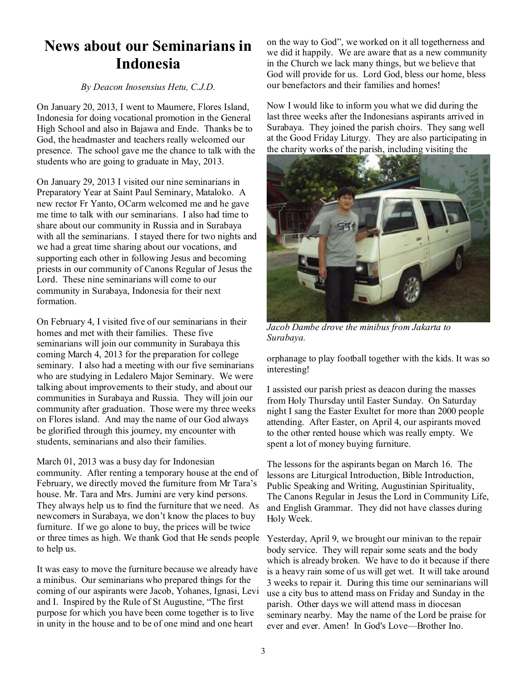## **News about our Seminarians in Indonesia**

#### *By Deacon Inosensius Hetu, C.J.D.*

On January 20, 2013, I went to Maumere, Flores Island, Indonesia for doing vocational promotion in the General High School and also in Bajawa and Ende. Thanks be to God, the headmaster and teachers really welcomed our presence. The school gave me the chance to talk with the students who are going to graduate in May, 2013.

On January 29, 2013 I visited our nine seminarians in Preparatory Year at Saint Paul Seminary, Mataloko. A new rector Fr Yanto, OCarm welcomed me and he gave me time to talk with our seminarians. I also had time to share about our community in Russia and in Surabaya with all the seminarians. I stayed there for two nights and we had a great time sharing about our vocations, and supporting each other in following Jesus and becoming priests in our community of Canons Regular of Jesus the Lord. These nine seminarians will come to our community in Surabaya, Indonesia for their next formation.

On February 4, I visited five of our seminarians in their homes and met with their families. These five seminarians will join our community in Surabaya this coming March 4, 2013 for the preparation for college seminary. I also had a meeting with our five seminarians who are studying in Ledalero Major Seminary. We were talking about improvements to their study, and about our communities in Surabaya and Russia. They will join our community after graduation. Those were my three weeks on Flores island. And may the name of our God always be glorified through this journey, my encounter with students, seminarians and also their families.

March 01, 2013 was a busy day for Indonesian community. After renting a temporary house at the end of February, we directly moved the furniture from Mr Tara's house. Mr. Tara and Mrs. Jumini are very kind persons. They always help us to find the furniture that we need. As newcomers in Surabaya, we don't know the places to buy furniture. If we go alone to buy, the prices will be twice or three times as high. We thank God that He sends people Yesterday, April 9, we brought our minivan to the repair to help us.

It was easy to move the furniture because we already have a minibus. Our seminarians who prepared things for the coming of our aspirants were Jacob, Yohanes, Ignasi, Levi and I. Inspired by the Rule of St Augustine, "The first purpose for which you have been come together is to live in unity in the house and to be of one mind and one heart

on the way to God", we worked on it all togetherness and we did it happily. We are aware that as a new community in the Church we lack many things, but we believe that God will provide for us. Lord God, bless our home, bless our benefactors and their families and homes!

Now I would like to inform you what we did during the last three weeks after the Indonesians aspirants arrived in Surabaya. They joined the parish choirs. They sang well at the Good Friday Liturgy. They are also participating in the charity works of the parish, including visiting the



*Jacob Dambe drove the minibus from Jakarta to Surabaya.* 

orphanage to play football together with the kids. It was so interesting!

I assisted our parish priest as deacon during the masses from Holy Thursday until Easter Sunday. On Saturday night I sang the Easter Exultet for more than 2000 people attending. After Easter, on April 4, our aspirants moved to the other rented house which was really empty. We spent a lot of money buying furniture.

The lessons for the aspirants began on March 16. The lessons are Liturgical Introduction, Bible Introduction, Public Speaking and Writing, Augustinian Spirituality, The Canons Regular in Jesus the Lord in Community Life, and English Grammar. They did not have classes during Holy Week.

body service. They will repair some seats and the body which is already broken. We have to do it because if there is a heavy rain some of us will get wet. It will take around 3 weeks to repair it. During this time our seminarians will use a city bus to attend mass on Friday and Sunday in the parish. Other days we will attend mass in diocesan seminary nearby. May the name of the Lord be praise for ever and ever. Amen! In God's Love—Brother Ino.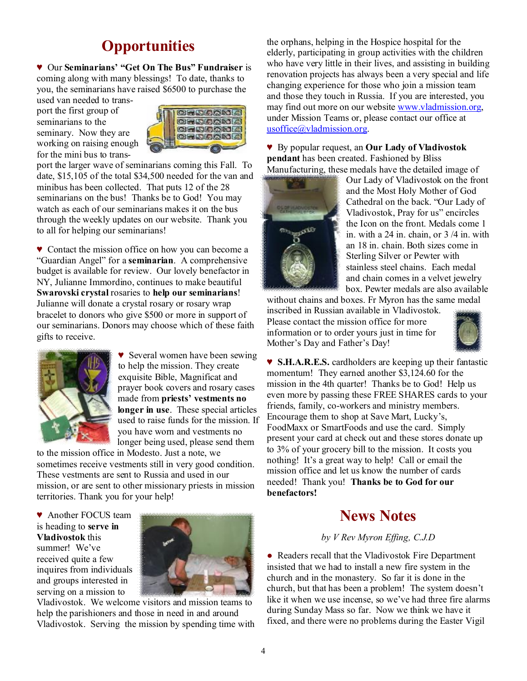## **Opportunities**

♥ Our **Seminarians' "Get On The Bus" Fundraiser** is coming along with many blessings! To date, thanks to you, the seminarians have raised \$6500 to purchase the

used van needed to transport the first group of seminarians to the seminary. Now they are working on raising enough for the mini bus to trans-



port the larger wave of seminarians coming this Fall. To date, \$15,105 of the total \$34,500 needed for the van and minibus has been collected. That puts 12 of the 28 seminarians on the bus! Thanks be to God! You may watch as each of our seminarians makes it on the bus through the weekly updates on our website. Thank you to all for helping our seminarians!

♥ Contact the mission office on how you can become a "Guardian Angel" for a **seminarian**. A comprehensive budget is available for review. Our lovely benefactor in NY, Julianne Immordino, continues to make beautiful **Swarovski crystal** rosaries to **help our seminarians**! Julianne will donate a crystal rosary or rosary wrap bracelet to donors who give \$500 or more in support of our seminarians. Donors may choose which of these faith gifts to receive.



♥ Several women have been sewing to help the mission. They create exquisite Bible, Magnificat and prayer book covers and rosary cases made from **priests' vestments no longer in use**. These special articles used to raise funds for the mission. If you have worn and vestments no longer being used, please send them

to the mission office in Modesto. Just a note, we sometimes receive vestments still in very good condition. These vestments are sent to Russia and used in our mission, or are sent to other missionary priests in mission territories. Thank you for your help!

♥ Another FOCUS team is heading to **serve in Vladivostok** this summer! We've received quite a few inquires from individuals and groups interested in serving on a mission to



Vladivostok. We welcome visitors and mission teams to help the parishioners and those in need in and around Vladivostok. Serving the mission by spending time with the orphans, helping in the Hospice hospital for the elderly, participating in group activities with the children who have very little in their lives, and assisting in building renovation projects has always been a very special and life changing experience for those who join a mission team and those they touch in Russia. If you are interested, you may find out more on our website [www.vladmission.org](http://www.vladmission.org), under Mission Teams or, please contact our office at [usoffice@vladmission.org.](mailto:usoffice@vladmission.org)

♥ By popular request, an **Our Lady of Vladivostok pendant** has been created. Fashioned by Bliss Manufacturing, these medals have the detailed image of



Our Lady of Vladivostok on the front and the Most Holy Mother of God Cathedral on the back. "Our Lady of Vladivostok, Pray for us" encircles the Icon on the front. Medals come 1 in. with a 24 in. chain, or 3 /4 in. with an 18 in. chain. Both sizes come in Sterling Silver or Pewter with stainless steel chains. Each medal and chain comes in a velvet jewelry box. Pewter medals are also available

without chains and boxes. Fr Myron has the same medal inscribed in Russian available in Vladivostok. Please contact the mission office for more information or to order yours just in time for Mother's Day and Father's Day!



♥ **S.H.A.R.E.S.** cardholders are keeping up their fantastic momentum! They earned another \$3,124.60 for the mission in the 4th quarter! Thanks be to God! Help us even more by passing these FREE SHARES cards to your friends, family, co-workers and ministry members. Encourage them to shop at Save Mart, Lucky's, FoodMaxx or SmartFoods and use the card. Simply present your card at check out and these stores donate up to 3% of your grocery bill to the mission. It costs you nothing! It's a great way to help! Call or email the mission office and let us know the number of cards needed! Thank you! **Thanks be to God for our benefactors!** 

## **News Notes**

#### *by V Rev Myron Effing, C.J.D*

• Readers recall that the Vladivostok Fire Department insisted that we had to install a new fire system in the church and in the monastery. So far it is done in the church, but that has been a problem! The system doesn't like it when we use incense, so we've had three fire alarms during Sunday Mass so far. Now we think we have it fixed, and there were no problems during the Easter Vigil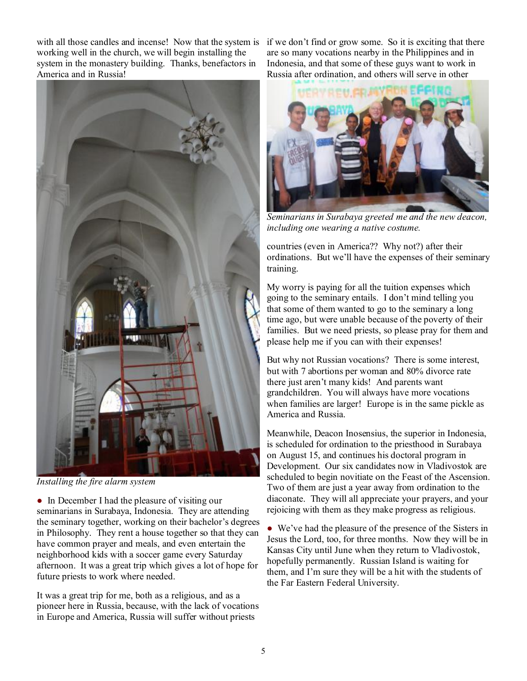with all those candles and incense! Now that the system is if we don't find or grow some. So it is exciting that there working well in the church, we will begin installing the system in the monastery building. Thanks, benefactors in America and in Russia!



*Installing the fire alarm system* 

• In December I had the pleasure of visiting our seminarians in Surabaya, Indonesia. They are attending the seminary together, working on their bachelor's degrees in Philosophy. They rent a house together so that they can have common prayer and meals, and even entertain the neighborhood kids with a soccer game every Saturday afternoon. It was a great trip which gives a lot of hope for future priests to work where needed.

It was a great trip for me, both as a religious, and as a pioneer here in Russia, because, with the lack of vocations in Europe and America, Russia will suffer without priests

are so many vocations nearby in the Philippines and in Indonesia, and that some of these guys want to work in Russia after ordination, and others will serve in other



*Seminarians in Surabaya greeted me and the new deacon, including one wearing a native costume.* 

countries (even in America?? Why not?) after their ordinations. But we'll have the expenses of their seminary training.

My worry is paying for all the tuition expenses which going to the seminary entails. I don't mind telling you that some of them wanted to go to the seminary a long time ago, but were unable because of the poverty of their families. But we need priests, so please pray for them and please help me if you can with their expenses!

But why not Russian vocations? There is some interest, but with 7 abortions per woman and 80% divorce rate there just aren't many kids! And parents want grandchildren. You will always have more vocations when families are larger! Europe is in the same pickle as America and Russia.

Meanwhile, Deacon Inosensius, the superior in Indonesia, is scheduled for ordination to the priesthood in Surabaya on August 15, and continues his doctoral program in Development. Our six candidates now in Vladivostok are scheduled to begin novitiate on the Feast of the Ascension. Two of them are just a year away from ordination to the diaconate. They will all appreciate your prayers, and your rejoicing with them as they make progress as religious.

● We've had the pleasure of the presence of the Sisters in Jesus the Lord, too, for three months. Now they will be in Kansas City until June when they return to Vladivostok, hopefully permanently. Russian Island is waiting for them, and I'm sure they will be a hit with the students of the Far Eastern Federal University.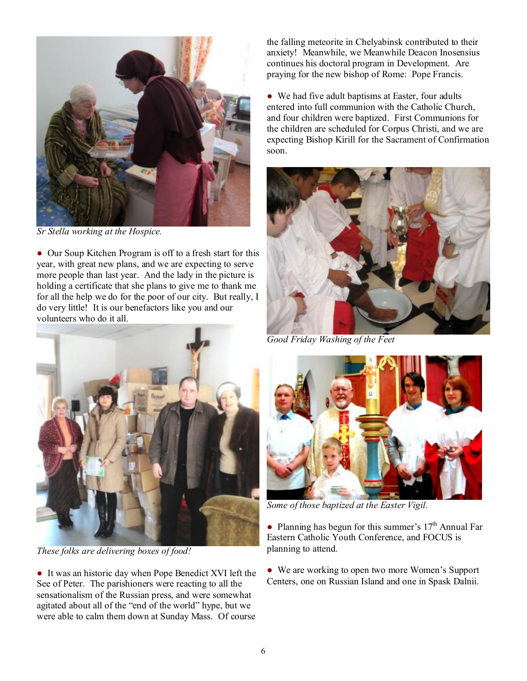

*Sr Stella working at the Hospice.* 

• Our Soup Kitchen Program is off to a fresh start for this year, with great new plans, and we are expecting to serve more people than last year. And the lady in the picture is holding a certificate that she plans to give me to thank me for all the help we do for the poor of our city. But really, I do very little! It is our benefactors like you and our volunteers who do it all.

the falling meteorite in Chelyabinsk contributed to their anxiety! Meanwhile, we Meanwhile Deacon Inosensius continues his doctoral program in Development. Are praying for the new bishop of Rome: Pope Francis.

• We had five adult baptisms at Easter, four adults entered into full communion with the Catholic Church, and four children were baptized. First Communions for the children are scheduled for Corpus Christi, and we are expecting Bishop Kirill for the Sacrament of Confirmation soon.



*Good Friday Washing of the Feet* 



*These folks are delivering boxes of food!* 

● It was an historic day when Pope Benedict XVI left the See of Peter. The parishioners were reacting to all the sensationalism of the Russian press, and were somewhat agitated about all of the "end of the world" hype, but we were able to calm them down at Sunday Mass. Of course



*Some of those baptized at the Easter Vigil.* 

• Planning has begun for this summer's  $17<sup>th</sup>$  Annual Far Eastern Catholic Youth Conference, and FOCUS is planning to attend.

• We are working to open two more Women's Support Centers, one on Russian Island and one in Spask Dalnii.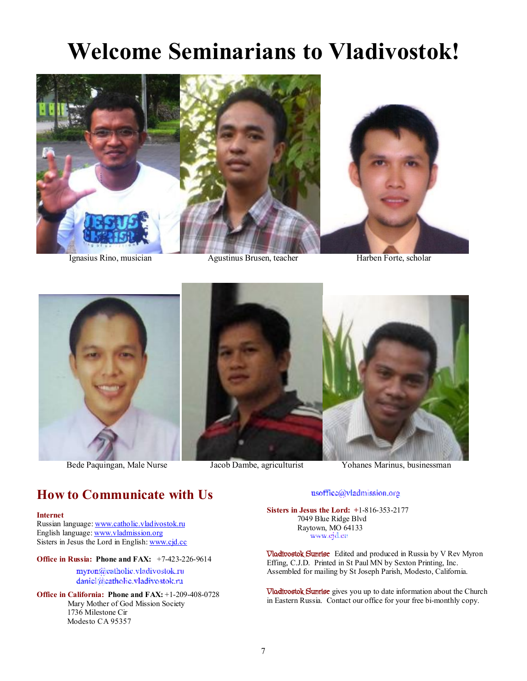## **Welcome Seminarians to Vladivostok!**



Ignasius Rino, musician Agustinus Brusen, teacher Harben Forte, scholar





Bede Paquingan, Male Nurse Jacob Dambe, agriculturist Yohanes Marinus, businessman

## **How to Communicate with Us**

#### **Internet**

Russian language: [www.catholic.vladivostok.ru](http://www.catholic.vladivostok.ru) English language: [www.vladmission.org](http://www.vladmission.org) Sisters in Jesus the Lord in English: [www.cjd.cc](http://www.cjd.cc)

#### **Office in Russia: Phone and FAX:** +7-423-226-9614

myron@catholic.vladivostok.ru daniel@catholic.vladivostok.ru

**Office in California: Phone and FAX:** +1-209-408-0728 Mary Mother of God Mission Society 1736 Milestone Cir Modesto CA 95357

#### usoffice@vladmission.org

**Sisters in Jesus the Lord: +**1-816-353-2177 7049 Blue Ridge Blvd Raytown, MO 64133 www.ejd.ee

**Vladivostok Sunrise** Edited and produced in Russia by V Rev Myron Effing, C.J.D. Printed in St Paul MN by Sexton Printing, Inc. Assembled for mailing by St Joseph Parish, Modesto, California.

**Vladivostok Sunrise** gives you up to date information about the Church in Eastern Russia. Contact our office for your free bi-monthly copy.